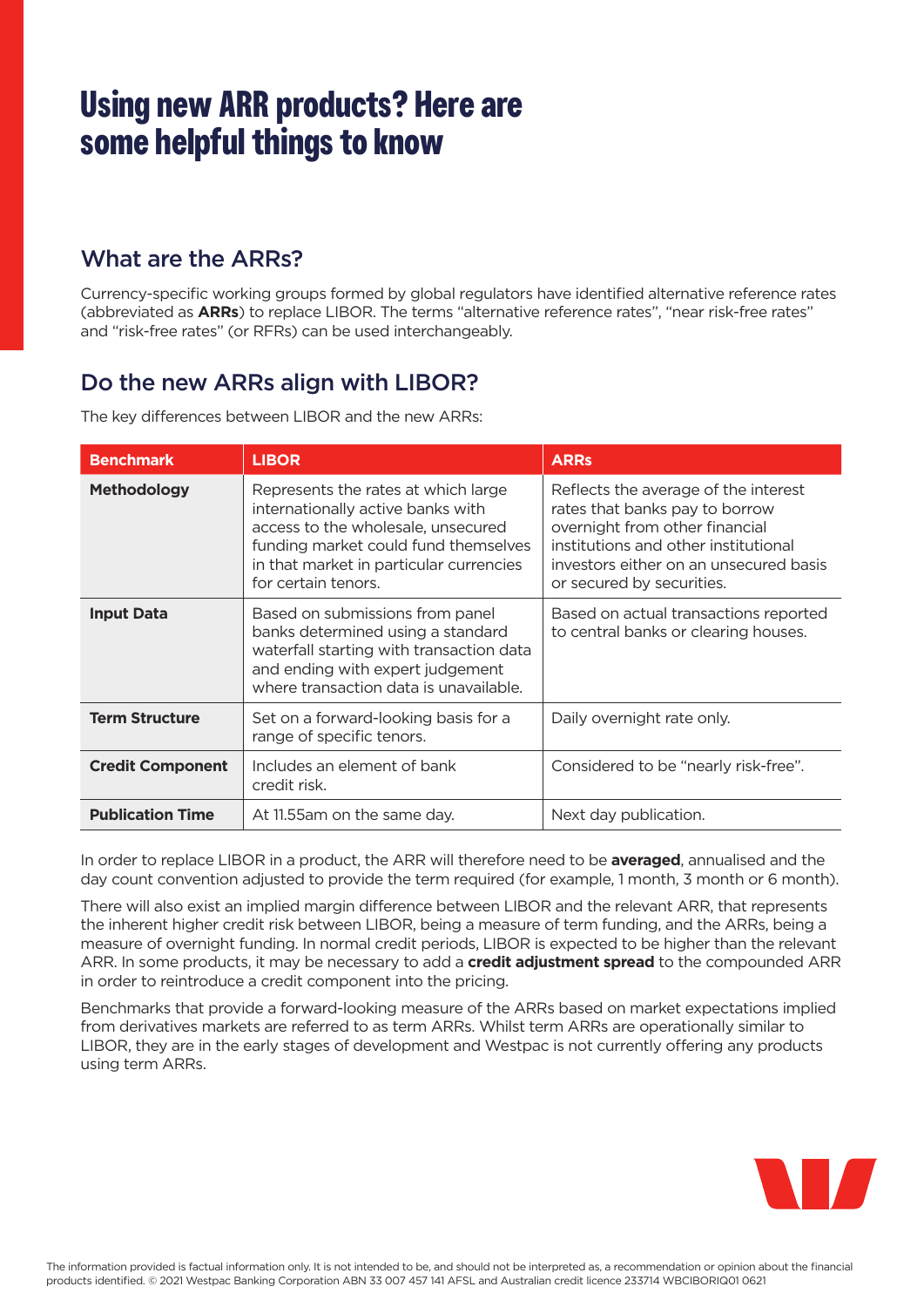# **Using new ARR products? Here are some helpful things to know**

#### What are the ARRs?

Currency-specific working groups formed by global regulators have identified alternative reference rates (abbreviated as **ARRs**) to replace LIBOR. The terms "alternative reference rates", "near risk-free rates" and "risk-free rates" (or RFRs) can be used interchangeably.

#### Do the new ARRs align with LIBOR?

The key differences between LIBOR and the new ARRs:

| <b>Benchmark</b>        | <b>LIBOR</b>                                                                                                                                                                                                             | <b>ARRs</b>                                                                                                                                                                                                             |
|-------------------------|--------------------------------------------------------------------------------------------------------------------------------------------------------------------------------------------------------------------------|-------------------------------------------------------------------------------------------------------------------------------------------------------------------------------------------------------------------------|
| <b>Methodology</b>      | Represents the rates at which large<br>internationally active banks with<br>access to the wholesale, unsecured<br>funding market could fund themselves<br>in that market in particular currencies<br>for certain tenors. | Reflects the average of the interest<br>rates that banks pay to borrow<br>overnight from other financial<br>institutions and other institutional<br>investors either on an unsecured basis<br>or secured by securities. |
| <b>Input Data</b>       | Based on submissions from panel<br>banks determined using a standard<br>waterfall starting with transaction data<br>and ending with expert judgement<br>where transaction data is unavailable.                           | Based on actual transactions reported<br>to central banks or clearing houses.                                                                                                                                           |
| <b>Term Structure</b>   | Set on a forward-looking basis for a<br>range of specific tenors.                                                                                                                                                        | Daily overnight rate only.                                                                                                                                                                                              |
| <b>Credit Component</b> | Includes an element of bank<br>credit risk.                                                                                                                                                                              | Considered to be "nearly risk-free".                                                                                                                                                                                    |
| <b>Publication Time</b> | At 11.55 am on the same day.                                                                                                                                                                                             | Next day publication.                                                                                                                                                                                                   |

In order to replace LIBOR in a product, the ARR will therefore need to be **averaged**, annualised and the day count convention adjusted to provide the term required (for example, 1 month, 3 month or 6 month).

There will also exist an implied margin difference between LIBOR and the relevant ARR, that represents the inherent higher credit risk between LIBOR, being a measure of term funding, and the ARRs, being a measure of overnight funding. In normal credit periods, LIBOR is expected to be higher than the relevant ARR. In some products, it may be necessary to add a **credit adjustment spread** to the compounded ARR in order to reintroduce a credit component into the pricing.

Benchmarks that provide a forward-looking measure of the ARRs based on market expectations implied from derivatives markets are referred to as term ARRs. Whilst term ARRs are operationally similar to LIBOR, they are in the early stages of development and Westpac is not currently offering any products using term ARRs.

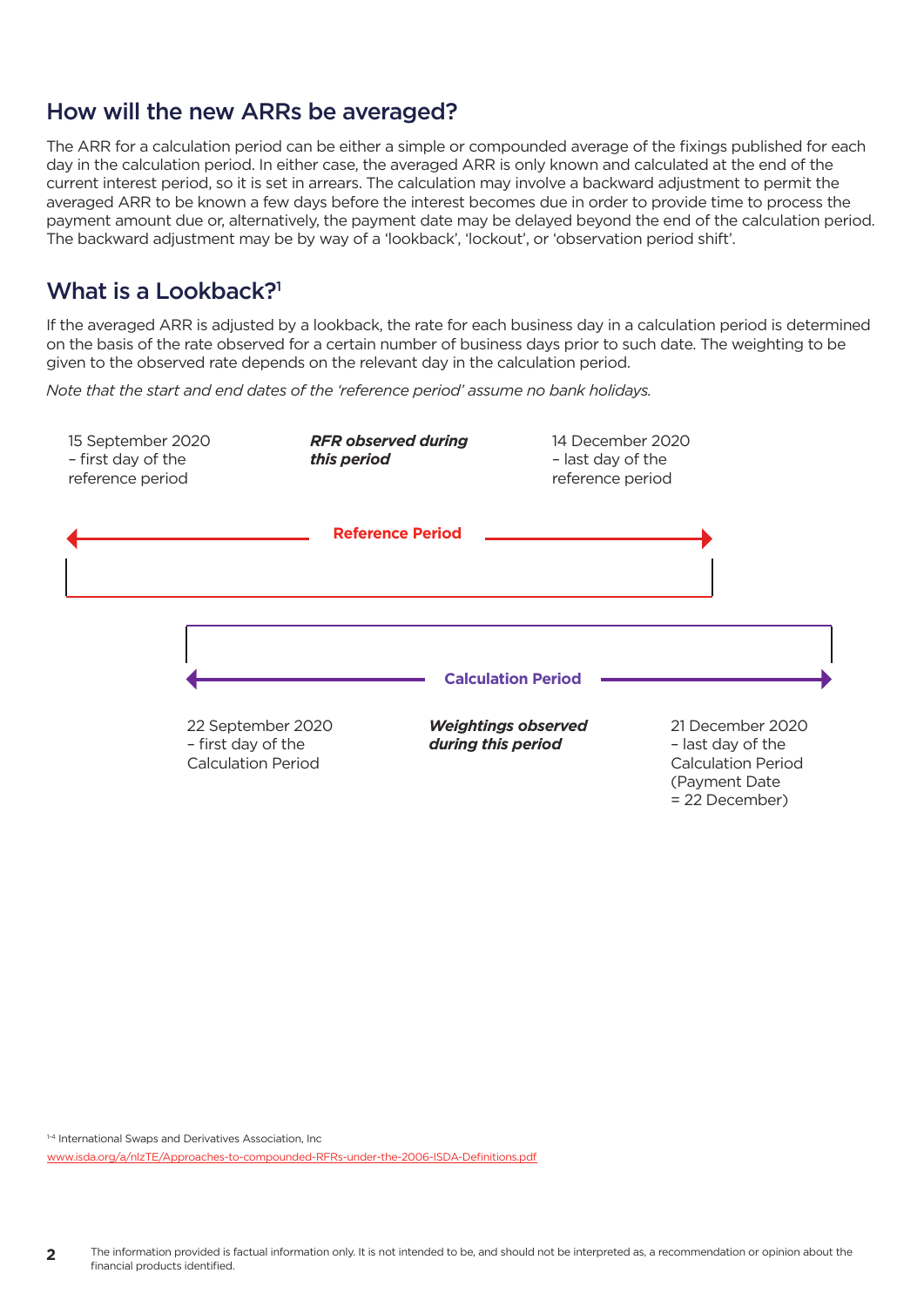#### How will the new ARRs be averaged?

The ARR for a calculation period can be either a simple or compounded average of the fixings published for each day in the calculation period. In either case, the averaged ARR is only known and calculated at the end of the current interest period, so it is set in arrears. The calculation may involve a backward adjustment to permit the averaged ARR to be known a few days before the interest becomes due in order to provide time to process the payment amount due or, alternatively, the payment date may be delayed beyond the end of the calculation period. The backward adjustment may be by way of a 'lookback', 'lockout', or 'observation period shift'.

#### What is a Lookback?<sup>1</sup>

If the averaged ARR is adjusted by a lookback, the rate for each business day in a calculation period is determined on the basis of the rate observed for a certain number of business days prior to such date. The weighting to be given to the observed rate depends on the relevant day in the calculation period.

*Note that the start and end dates of the 'reference period' assume no bank holidays.*



1-4 International Swaps and Derivatives Association, Inc

[www.isda.org/a/nlzTE/Approaches-to-compounded-RFRs-under-the-2006-ISDA-Definitions.pdf](http://www.isda.org/a/nlzTE/Approaches-to-compounded-RFRs-under-the-2006-ISDA-Definitions.pdf)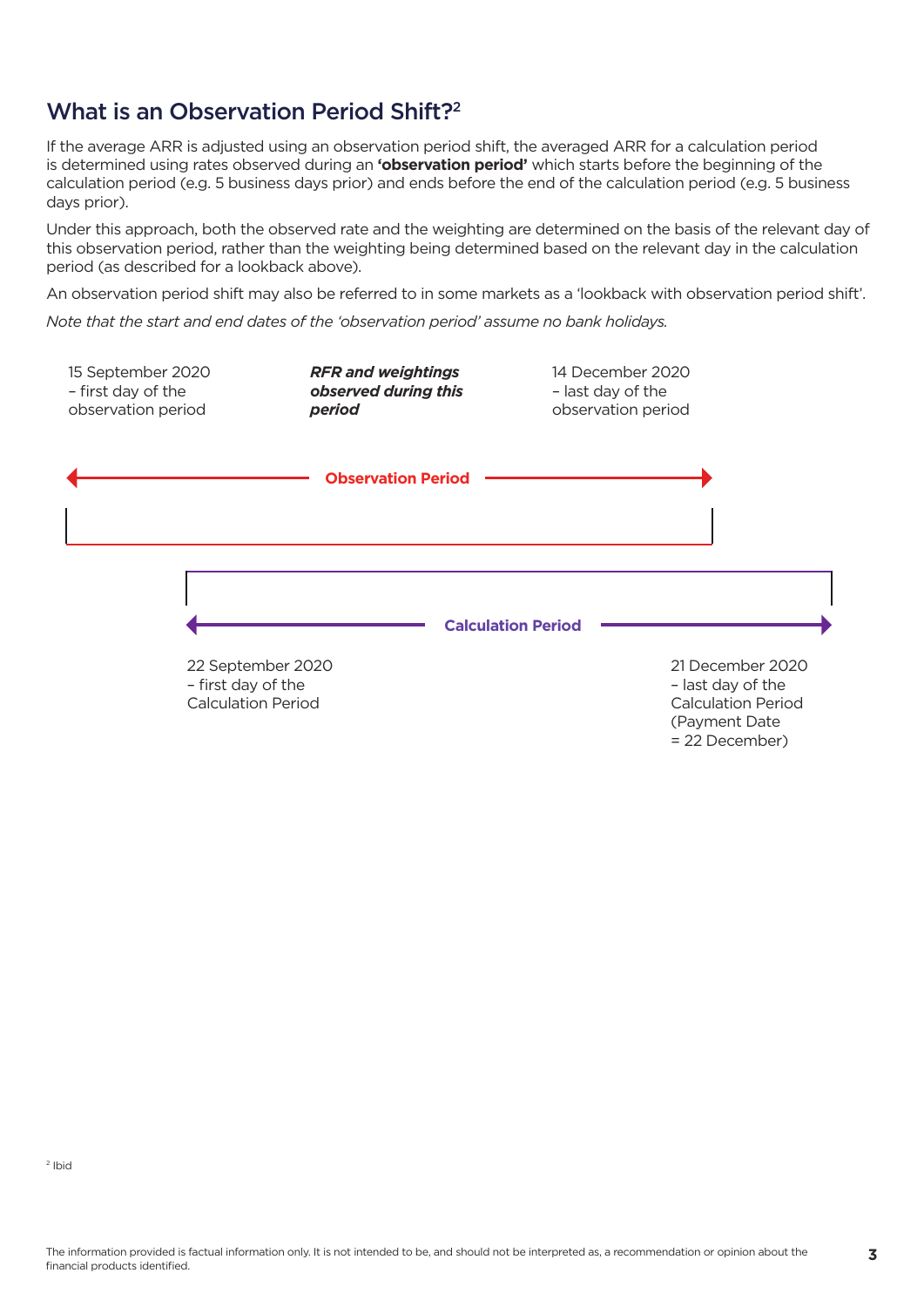# What is an Observation Period Shift?<sup>2</sup>

If the average ARR is adjusted using an observation period shift, the averaged ARR for a calculation period is determined using rates observed during an **'observation period'** which starts before the beginning of the calculation period (e.g. 5 business days prior) and ends before the end of the calculation period (e.g. 5 business days prior).

Under this approach, both the observed rate and the weighting are determined on the basis of the relevant day of this observation period, rather than the weighting being determined based on the relevant day in the calculation period (as described for a lookback above).

An observation period shift may also be referred to in some markets as a 'lookback with observation period shift'.

*Note that the start and end dates of the 'observation period' assume no bank holidays.*

| 15 September 2020<br>- first day of the<br>observation period        | <b>RFR and weightings</b><br>observed during this<br>period | 14 December 2020<br>- last day of the<br>observation period |                                                                                                       |
|----------------------------------------------------------------------|-------------------------------------------------------------|-------------------------------------------------------------|-------------------------------------------------------------------------------------------------------|
|                                                                      | <b>Observation Period</b>                                   |                                                             |                                                                                                       |
| 22 September 2020<br>- first day of the<br><b>Calculation Period</b> |                                                             | <b>Calculation Period</b>                                   | 21 December 2020<br>- last day of the<br><b>Calculation Period</b><br>(Payment Date<br>= 22 December) |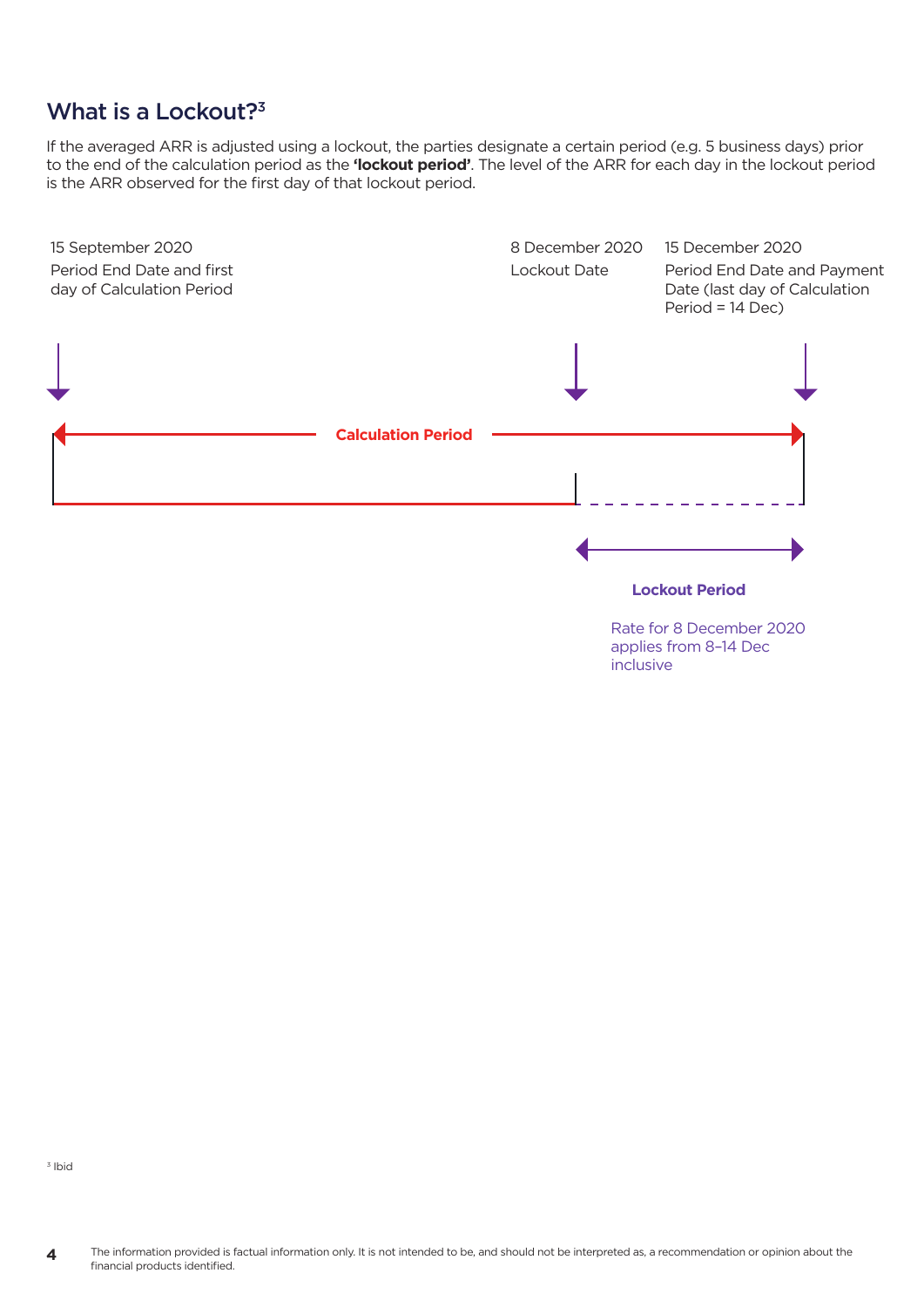# What is a Lockout?<sup>3</sup>

If the averaged ARR is adjusted using a lockout, the parties designate a certain period (e.g. 5 business days) prior to the end of the calculation period as the **'lockout period'**. The level of the ARR for each day in the lockout period is the ARR observed for the first day of that lockout period.



inclusive

3 Ibid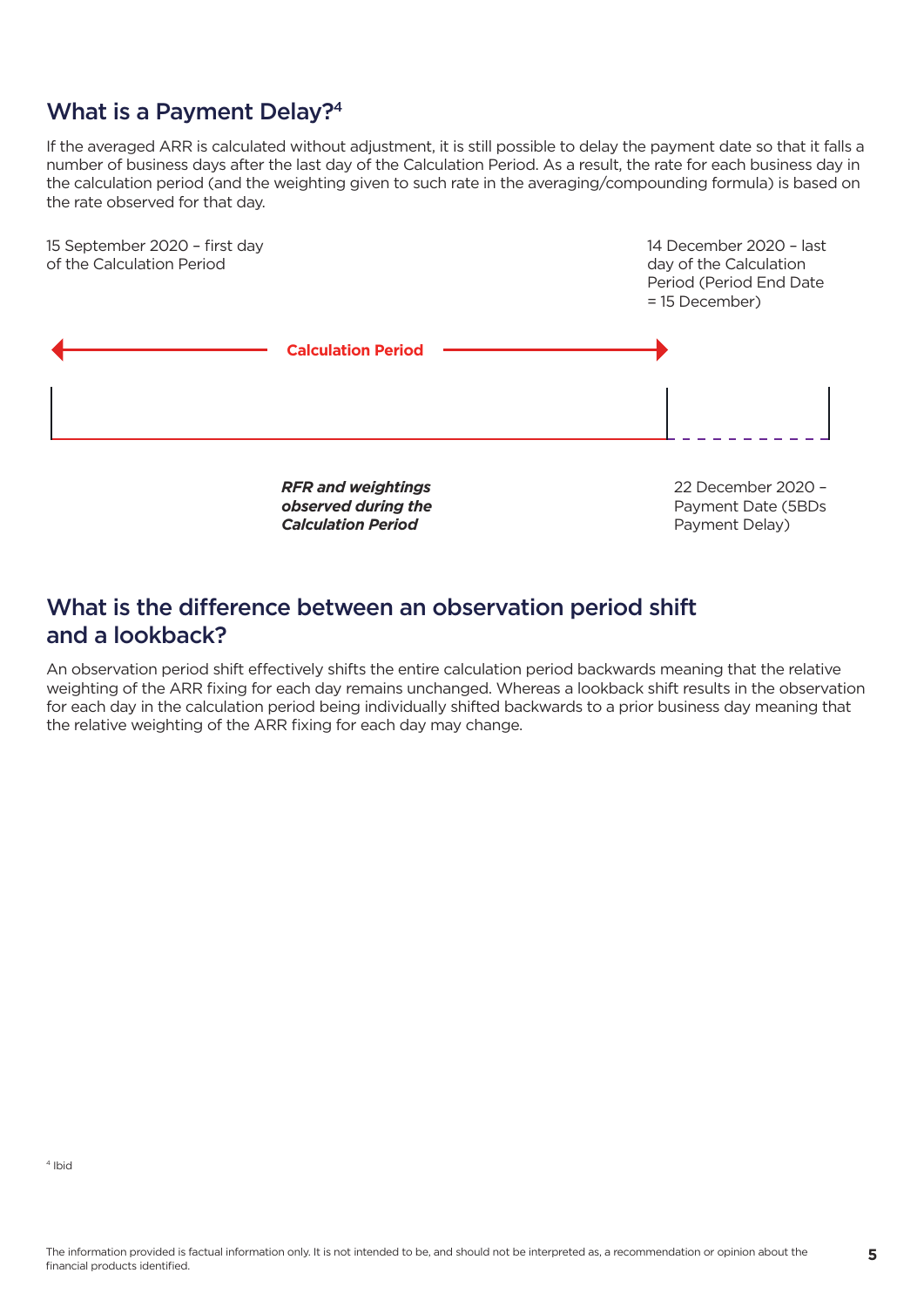## What is a Payment Delay?4

If the averaged ARR is calculated without adjustment, it is still possible to delay the payment date so that it falls a number of business days after the last day of the Calculation Period. As a result, the rate for each business day in the calculation period (and the weighting given to such rate in the averaging/compounding formula) is based on the rate observed for that day.



## What is the difference between an observation period shift and a lookback?

An observation period shift effectively shifts the entire calculation period backwards meaning that the relative weighting of the ARR fixing for each day remains unchanged. Whereas a lookback shift results in the observation for each day in the calculation period being individually shifted backwards to a prior business day meaning that the relative weighting of the ARR fixing for each day may change.